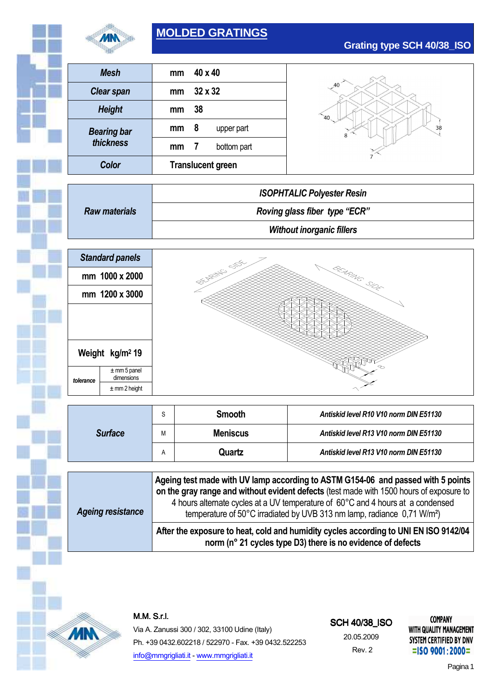

# **MOLDED GRATINGS**



|           | <b>Mesh</b>                        | mm | 40 x 40                                |    |  |  |
|-----------|------------------------------------|----|----------------------------------------|----|--|--|
|           | <b>Clear span</b><br><b>Height</b> |    | 32 x 32                                | 40 |  |  |
|           |                                    |    | 38                                     |    |  |  |
|           | <b>Bearing bar</b>                 | mm | 8<br>upper part                        | 38 |  |  |
|           | thickness                          | mm | 7<br>bottom part                       |    |  |  |
|           | <b>Color</b>                       |    | <b>Translucent green</b>               |    |  |  |
|           |                                    |    |                                        |    |  |  |
|           | <b>Raw materials</b>               |    | <b>ISOPHTALIC Polyester Resin</b>      |    |  |  |
|           |                                    |    | Roving glass fiber type "ECR"          |    |  |  |
|           |                                    |    | <b>Without inorganic fillers</b>       |    |  |  |
|           |                                    |    |                                        |    |  |  |
|           | <b>Standard panels</b>             |    |                                        |    |  |  |
|           | mm 1000 x 2000                     |    | <b>DECISION STOCKS</b><br>BEARING SIDE |    |  |  |
|           | mm 1200 x 3000                     |    |                                        |    |  |  |
|           |                                    |    |                                        |    |  |  |
|           |                                    |    |                                        |    |  |  |
|           |                                    |    |                                        |    |  |  |
|           | Weight kg/m <sup>2</sup> 19        |    |                                        |    |  |  |
|           |                                    |    |                                        |    |  |  |
|           | $±$ mm 5 panel                     |    |                                        |    |  |  |
| tolerance | dimensions<br>$±$ mm 2 height      |    |                                        |    |  |  |

|                | ົ<br>ت | <b>Smooth</b>   | Antiskid level R10 V10 norm DIN E51130 |  |
|----------------|--------|-----------------|----------------------------------------|--|
| <b>Surface</b> | М      | <b>Meniscus</b> | Antiskid level R13 V10 norm DIN E51130 |  |
|                |        | Quartz          | Antiskid level R13 V10 norm DIN E51130 |  |

| <b>Ageing resistance</b> | Ageing test made with UV lamp according to ASTM G154-06 and passed with 5 points<br>on the gray range and without evident defects (test made with 1500 hours of exposure to<br>4 hours alternate cycles at a UV temperature of 60°C and 4 hours at a condensed<br>temperature of 50 $^{\circ}$ C irradiated by UVB 313 nm lamp, radiance 0,71 W/m <sup>2</sup> ) |
|--------------------------|------------------------------------------------------------------------------------------------------------------------------------------------------------------------------------------------------------------------------------------------------------------------------------------------------------------------------------------------------------------|
|                          | After the exposure to heat, cold and humidity cycles according to UNI EN ISO 9142/04<br>norm (n° 21 cycles type D3) there is no evidence of defects                                                                                                                                                                                                              |



# M.M.S.r.l.

Via A. Zanussi 300 / 302, 33100 Udine (Italy) Ph. +39 0432.602218 / 522970 - Fax. +39 0432.522253 info@mmgrigliati.it - www.mmgrigliati.it

#### SCH 40/38\_ISO

20.05.2009 Rev. 2

**COMPANY** WITH QUALITY MANAGEMENT SYSTEM CERTIFIED BY DNV  $=$ ISO 9001:2000=